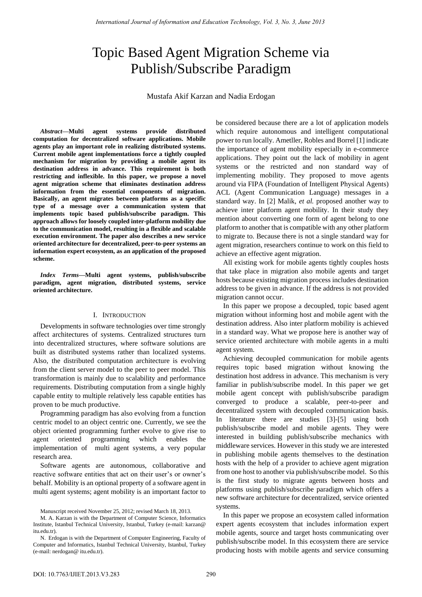# Topic Based Agent Migration Scheme via Publish/Subscribe Paradigm

Mustafa Akif Karzan and Nadia Erdogan

*Abstract***—Multi agent systems provide distributed computation for decentralized software applications. Mobile agents play an important role in realizing distributed systems. Current mobile agent implementations force a tightly coupled mechanism for migration by providing a mobile agent its destination address in advance. This requirement is both restricting and inflexible. In this paper, we propose a novel agent migration scheme that eliminates destination address information from the essential components of migration. Basically, an agent migrates between platforms as a specific type of a message over a communication system that implements topic based publish/subscribe paradigm. This approach allows for loosely coupled inter-platform mobility due to the communication model, resulting in a flexible and scalable execution environment. The paper also describes a new service oriented architecture for decentralized, peer-to-peer systems an information expert ecosystem, as an application of the proposed scheme.** 

*Index Terms***—Multi agent systems, publish/subscribe paradigm, agent migration, distributed systems, service oriented architecture.** 

# I. INTRODUCTION

Developments in software technologies over time strongly affect architectures of systems. Centralized structures turn into decentralized structures, where software solutions are built as distributed systems rather than localized systems. Also, the distributed computation architecture is evolving from the client server model to the peer to peer model. This transformation is mainly due to scalability and performance requirements. Distributing computation from a single highly capable entity to multiple relatively less capable entities has proven to be much productive.

Programming paradigm has also evolving from a function centric model to an object centric one. Currently, we see the object oriented programming further evolve to give rise to agent oriented programming which enables the implementation of multi agent systems, a very popular research area.

Software agents are autonomous, collaborative and reactive software entities that act on their user's or owner's behalf. Mobility is an optional property of a software agent in multi agent systems; agent mobility is an important factor to

M. A. Karzan is with the Department of Computer Science, Informatics Institute, Istanbul Technical University, Istanbul, Turkey (e-mail: karzan@ itu.edu.tr).

be considered because there are a lot of application models which require autonomous and intelligent computational power to run locally. Ametller, Robles and Borrel [1] indicate the importance of agent mobility especially in e-commerce applications. They point out the lack of mobility in agent systems or the restricted and non standard way of implementing mobility. They proposed to move agents around via FIPA (Foundation of Intelligent Physical Agents) ACL (Agent Communication Language) messages in a standard way. In [2] Malik, *et al.* proposed another way to achieve inter platform agent mobility. In their study they mention about converting one form of agent belong to one platform to another that is compatible with any other platform to migrate to. Because there is not a single standard way for agent migration, researchers continue to work on this field to achieve an effective agent migration.

All existing work for mobile agents tightly couples hosts that take place in migration also mobile agents and target hosts because existing migration process includes destination address to be given in advance. If the address is not provided migration cannot occur.

In this paper we propose a decoupled, topic based agent migration without informing host and mobile agent with the destination address. Also inter platform mobility is achieved in a standard way. What we propose here is another way of service oriented architecture with mobile agents in a multi agent system.

Achieving decoupled communication for mobile agents requires topic based migration without knowing the destination host address in advance. This mechanism is very familiar in publish/subscribe model. In this paper we get mobile agent concept with publish/subscribe paradigm converged to produce a scalable, peer-to-peer and decentralized system with decoupled communication basis. In literature there are studies [3]-[5] using both publish/subscribe model and mobile agents. They were interested in building publish/subscribe mechanics with middleware services. However in this study we are interested in publishing mobile agents themselves to the destination hosts with the help of a provider to achieve agent migration from one host to another via publish/subscribe model. So this is the first study to migrate agents between hosts and platforms using publish/subscribe paradigm which offers a new software architecture for decentralized, service oriented systems.

In this paper we propose an ecosystem called information expert agents ecosystem that includes information expert mobile agents, source and target hosts communicating over publish/subscribe model. In this ecosystem there are service producing hosts with mobile agents and service consuming

Manuscript received November 25, 2012; revised March 18, 2013.

N. Erdogan is with the Department of Computer Engineering, Faculty of Computer and Informatics, Istanbul Technical University, Istanbul, Turkey (e-mail: nerdogan@ itu.edu.tr).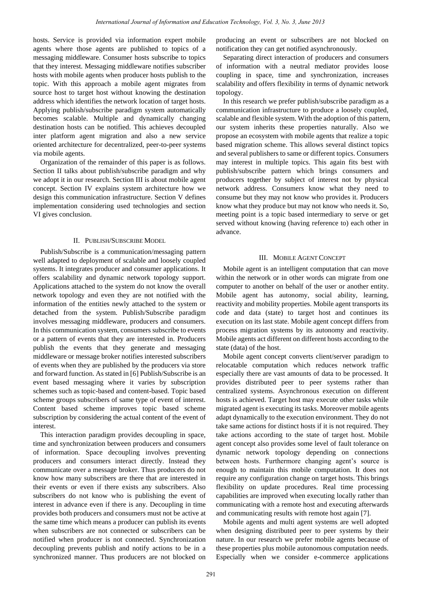hosts. Service is provided via information expert mobile agents where those agents are published to topics of a messaging middleware. Consumer hosts subscribe to topics that they interest. Messaging middleware notifies subscriber hosts with mobile agents when producer hosts publish to the topic. With this approach a mobile agent migrates from source host to target host without knowing the destination address which identifies the network location of target hosts. Applying publish/subscribe paradigm system automatically becomes scalable. Multiple and dynamically changing destination hosts can be notified. This achieves decoupled inter platform agent migration and also a new service oriented architecture for decentralized, peer-to-peer systems via mobile agents.

Organization of the remainder of this paper is as follows. Section II talks about publish/subscribe paradigm and why we adopt it in our research. Section III is about mobile agent concept. Section IV explains system architecture how we design this communication infrastructure. Section V defines implementation considering used technologies and section VI gives conclusion.

## II. PUBLISH/SUBSCRIBE MODEL

Publish/Subscribe is a communication/messaging pattern well adapted to deployment of scalable and loosely coupled systems. It integrates producer and consumer applications. It offers scalability and dynamic network topology support. Applications attached to the system do not know the overall network topology and even they are not notified with the information of the entities newly attached to the system or detached from the system. Publish/Subscribe paradigm involves messaging middleware, producers and consumers. In this communication system, consumers subscribe to events or a pattern of events that they are interested in. Producers publish the events that they generate and messaging middleware or message broker notifies interested subscribers of events when they are published by the producers via store and forward function. As stated in [6] Publish/Subscribe is an event based messaging where it varies by subscription schemes such as topic-based and content-based. Topic based scheme groups subscribers of same type of event of interest. Content based scheme improves topic based scheme subscription by considering the actual content of the event of interest.

This interaction paradigm provides decoupling in space, time and synchronization between producers and consumers of information. Space decoupling involves preventing producers and consumers interact directly. Instead they communicate over a message broker. Thus producers do not know how many subscribers are there that are interested in their events or even if there exists any subscribers. Also subscribers do not know who is publishing the event of interest in advance even if there is any. Decoupling in time provides both producers and consumers must not be active at the same time which means a producer can publish its events when subscribers are not connected or subscribers can be notified when producer is not connected. Synchronization decoupling prevents publish and notify actions to be in a synchronized manner. Thus producers are not blocked on

producing an event or subscribers are not blocked on notification they can get notified asynchronously.

Separating direct interaction of producers and consumers of information with a neutral mediator provides loose coupling in space, time and synchronization, increases scalability and offers flexibility in terms of dynamic network topology.

In this research we prefer publish/subscribe paradigm as a communication infrastructure to produce a loosely coupled, scalable and flexible system. With the adoption of this pattern, our system inherits these properties naturally. Also we propose an ecosystem with mobile agents that realize a topic based migration scheme. This allows several distinct topics and several publishers to same or different topics. Consumers may interest in multiple topics. This again fits best with publish/subscribe pattern which brings consumers and producers together by subject of interest not by physical network address. Consumers know what they need to consume but they may not know who provides it. Producers know what they produce but may not know who needs it. So, meeting point is a topic based intermediary to serve or get served without knowing (having reference to) each other in advance.

## III. MOBILE AGENT CONCEPT

Mobile agent is an intelligent computation that can move within the network or in other words can migrate from one computer to another on behalf of the user or another entity. Mobile agent has autonomy, social ability, learning, reactivity and mobility properties. Mobile agent transports its code and data (state) to target host and continues its execution on its last state. Mobile agent concept differs from process migration systems by its autonomy and reactivity. Mobile agents act different on different hosts according to the state (data) of the host.

Mobile agent concept converts client/server paradigm to relocatable computation which reduces network traffic especially there are vast amounts of data to be processed. It provides distributed peer to peer systems rather than centralized systems. Asynchronous execution on different hosts is achieved. Target host may execute other tasks while migrated agent is executing its tasks. Moreover mobile agents adapt dynamically to the execution environment. They do not take same actions for distinct hosts if it is not required. They take actions according to the state of target host. Mobile agent concept also provides some level of fault tolerance on dynamic network topology depending on connections between hosts. Furthermore changing agent's source is enough to maintain this mobile computation. It does not require any configuration change on target hosts. This brings flexibility on update procedures. Real time processing capabilities are improved when executing locally rather than communicating with a remote host and executing afterwards and communicating results with remote host again [7].

Mobile agents and multi agent systems are well adopted when designing distributed peer to peer systems by their nature. In our research we prefer mobile agents because of these properties plus mobile autonomous computation needs. Especially when we consider e-commerce applications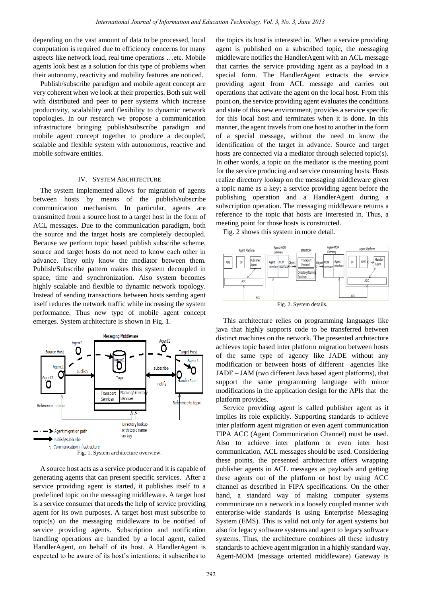depending on the vast amount of data to be processed, local computation is required due to efficiency concerns for many aspects like network load, real time operations …etc. Mobile agents look best as a solution for this type of problems when their autonomy, reactivity and mobility features are noticed.

Publish/subscribe paradigm and mobile agent concept are very coherent when we look at their properties. Both suit well with distributed and peer to peer systems which increase productivity, scalability and flexibility to dynamic network topologies. In our research we propose a communication infrastructure bringing publish/subscribe paradigm and mobile agent concept together to produce a decoupled, scalable and flexible system with autonomous, reactive and mobile software entities.

# IV. SYSTEM ARCHITECTURE

The system implemented allows for migration of agents between hosts by means of the publish/subscribe communication mechanism. In particular, agents are transmitted from a source host to a target host in the form of ACL messages. Due to the communication paradigm, both the source and the target hosts are completely decoupled. Because we perform topic based publish subscribe scheme, source and target hosts do not need to know each other in advance. They only know the mediator between them. Publish/Subscribe pattern makes this system decoupled in space, time and synchronization. Also system becomes highly scalable and flexible to dynamic network topology. Instead of sending transactions between hosts sending agent itself reduces the network traffic while increasing the system performance. Thus new type of mobile agent concept emerges. System architecture is shown in Fig. 1.



A source host acts as a service producer and it is capable of generating agents that can present specific services. After a service providing agent is started, it publishes itself to a predefined topic on the messaging middleware. A target host is a service consumer that needs the help of service providing agent for its own purposes. A target host must subscribe to topic(s) on the messaging middleware to be notified of service providing agents. Subscription and notification handling operations are handled by a local agent, called HandlerAgent, on behalf of its host. A HandlerAgent is expected to be aware of its host's intentions; it subscribes to

the topics its host is interested in. When a service providing agent is published on a subscribed topic, the messaging middleware notifies the HandlerAgent with an ACL message that carries the service providing agent as a payload in a special form. The HandlerAgent extracts the service providing agent from ACL message and carries out operations that activate the agent on the local host. From this point on, the service providing agent evaluates the conditions and state of this new environment, provides a service specific for this local host and terminates when it is done. In this manner, the agent travels from one host to another in the form of a special message, without the need to know the identification of the target in advance. Source and target hosts are connected via a mediator through selected topic(s). In other words, a topic on the mediator is the meeting point for the service producing and service consuming hosts. Hosts realize directory lookup on the messaging middleware given a topic name as a key; a service providing agent before the publishing operation and a HandlerAgent during a subscription operation. The messaging middleware returns a reference to the topic that hosts are interested in. Thus, a meeting point for those hosts is constructed.

Fig. 2 shows this system in more detail.



Fig. 2. System details.

This architecture relies on programming languages like java that highly supports code to be transferred between distinct machines on the network. The presented architecture achieves topic based inter platform migration between hosts of the same type of agency like JADE without any modification or between hosts of different agencies like JADE – JAM (two different Java based agent platforms), that support the same programming language with minor modifications in the application design for the APIs that the platform provides.

Service providing agent is called publisher agent as it implies its role explicitly. Supporting standards to achieve inter platform agent migration or even agent communication FIPA ACC (Agent Communication Channel) must be used. Also to achieve inter platform or even inter host communication, ACL messages should be used. Considering these points, the presented architecture offers wrapping publisher agents in ACL messages as payloads and getting these agents out of the platform or host by using ACC channel as described in FIPA specifications. On the other hand, a standard way of making computer systems communicate on a network in a loosely coupled manner with enterprise-wide standards is using Enterprise Messaging System (EMS). This is valid not only for agent systems but also for legacy software systems and agent to legacy software systems. Thus, the architecture combines all these industry standards to achieve agent migration in a highly standard way. Agent-MOM (message oriented middleware) Gateway is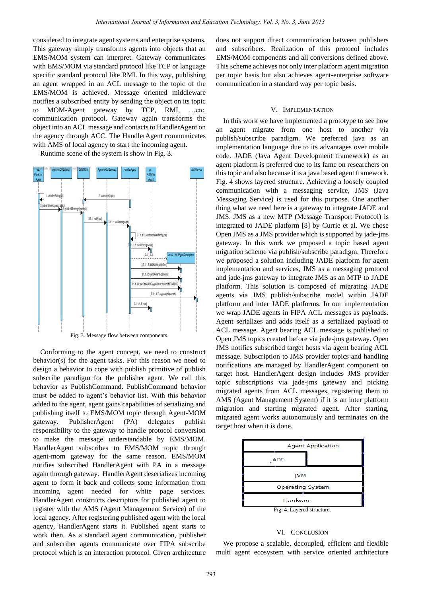considered to integrate agent systems and enterprise systems. This gateway simply transforms agents into objects that an EMS/MOM system can interpret. Gateway communicates with EMS/MOM via standard protocol like TCP or language specific standard protocol like RMI. In this way, publishing an agent wrapped in an ACL message to the topic of the EMS/MOM is achieved. Message oriented middleware notifies a subscribed entity by sending the object on its topic to MOM-Agent gateway by TCP, RMI, …etc. communication protocol. Gateway again transforms the object into an ACL message and contacts to HandlerAgent on the agency through ACC. The HandlerAgent communicates with AMS of local agency to start the incoming agent.



Runtime scene of the system is show in Fig. 3.

Fig. 3. Message flow between components.

Conforming to the agent concept, we need to construct behavior(s) for the agent tasks. For this reason we need to design a behavior to cope with publish primitive of publish subscribe paradigm for the publisher agent. We call this behavior as PublishCommand. PublishCommand behavior must be added to agent's behavior list. With this behavior added to the agent, agent gains capabilities of serializing and publishing itself to EMS/MOM topic through Agent-MOM gateway. PublisherAgent (PA) delegates publish responsibility to the gateway to handle protocol conversion to make the message understandable by EMS/MOM. HandlerAgent subscribes to EMS/MOM topic through agent-mom gateway for the same reason. EMS/MOM notifies subscribed HandlerAgent with PA in a message again through gateway. HandlerAgent deserializes incoming agent to form it back and collects some information from incoming agent needed for white page services. HandlerAgent constructs descriptors for published agent to register with the AMS (Agent Management Service) of the local agency. After registering published agent with the local agency, HandlerAgent starts it. Published agent starts to work then. As a standard agent communication, publisher and subscriber agents communicate over FIPA subscribe protocol which is an interaction protocol. Given architecture does not support direct communication between publishers and subscribers. Realization of this protocol includes EMS/MOM components and all conversions defined above. This scheme achieves not only inter platform agent migration per topic basis but also achieves agent-enterprise software communication in a standard way per topic basis.

### V. IMPLEMENTATION

In this work we have implemented a prototype to see how an agent migrate from one host to another via publish/subscribe paradigm. We preferred java as an implementation language due to its advantages over mobile code. JADE (Java Agent Development framework) as an agent platform is preferred due to its fame on researchers on this topic and also because it is a java based agent framework. Fig. 4 shows layered structure. Achieving a loosely coupled communication with a messaging service, JMS (Java Messaging Service) is used for this purpose. One another thing what we need here is a gateway to integrate JADE and JMS. JMS as a new MTP (Message Transport Protocol) is integrated to JADE platform [8] by Currie et al. We chose Open JMS as a JMS provider which is supported by jade-jms gateway. In this work we proposed a topic based agent migration scheme via publish/subscribe paradigm. Therefore we proposed a solution including JADE platform for agent implementation and services, JMS as a messaging protocol and jade-jms gateway to integrate JMS as an MTP to JADE platform. This solution is composed of migrating JADE agents via JMS publish/subscribe model within JADE platform and inter JADE platforms. In our implementation we wrap JADE agents in FIPA ACL messages as payloads. Agent serializes and adds itself as a serialized payload to ACL message. Agent bearing ACL message is published to Open JMS topics created before via jade-jms gateway. Open JMS notifies subscribed target hosts via agent bearing ACL message. Subscription to JMS provider topics and handling notifications are managed by HandlerAgent component on target host. HandlerAgent design includes JMS provider topic subscriptions via jade-jms gateway and picking migrated agents from ACL messages, registering them to AMS (Agent Management System) if it is an inter platform migration and starting migrated agent. After starting, migrated agent works autonomously and terminates on the target host when it is done.



## VI. CONCLUSION

We propose a scalable, decoupled, efficient and flexible multi agent ecosystem with service oriented architecture